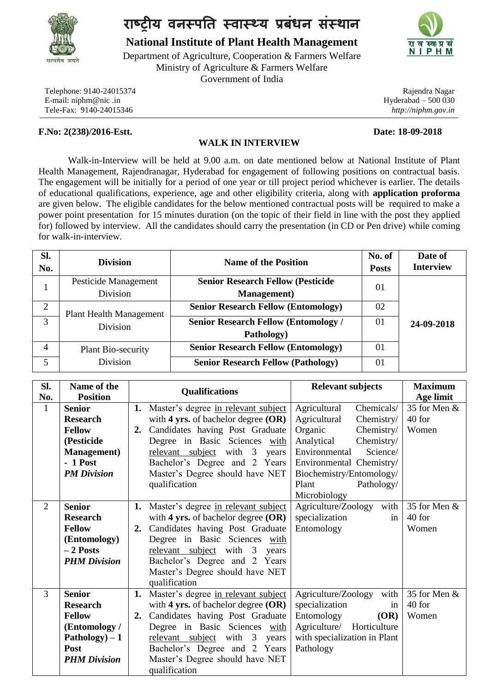

## **राष्ट्रीय वनस्पति स्वास््य प्रबंधन संस्थान**

**National Institute of Plant Health Management**

Department of Agriculture, Cooperation & Farmers Welfare Ministry of Agriculture & Farmers Welfare Government of India

Telephone: 9140-24015374 E-mail: niphm@nic .in Tele-Fax: 9140-24015346

### **F.No: 2(238)/2016-Estt. Date: 18-09-2018**

# **PHM**

Rajendra Nagar Hyderabad – 500 030 *http://niphm.gov.in*

#### **WALK IN INTERVIEW**

Walk-in-Interview will be held at 9.00 a.m. on date mentioned below at National Institute of Plant Health Management, Rajendranagar, Hyderabad for engagement of following positions on contractual basis. The engagement will be initially for a period of one year or till project period whichever is earlier. The details of educational qualifications, experience, age and other eligibility criteria, along with **application proforma** are given below. The eligible candidates for the below mentioned contractual posts will be required to make a power point presentation for 15 minutes duration (on the topic of their field in line with the post they applied for) followed by interview. All the candidates should carry the presentation (in CD or Pen drive) while coming for walk-in-interview.

| SI.<br>No.     | <b>Division</b>                | <b>Name of the Position</b>                 | No. of<br><b>Posts</b> | Date of<br><b>Interview</b> |
|----------------|--------------------------------|---------------------------------------------|------------------------|-----------------------------|
|                | Pesticide Management           | <b>Senior Research Fellow (Pesticide</b>    | 01                     |                             |
|                | Division                       | <b>Management</b> )                         |                        |                             |
| $\overline{2}$ | <b>Plant Health Management</b> | <b>Senior Research Fellow (Entomology)</b>  | 02                     |                             |
| 3              | Division                       | <b>Senior Research Fellow (Entomology /</b> | 01                     | 24-09-2018                  |
|                |                                | Pathology)                                  |                        |                             |
| 4              | Plant Bio-security             | <b>Senior Research Fellow (Entomology)</b>  | 01                     |                             |
| 5              | Division                       | <b>Senior Research Fellow (Pathology)</b>   | 01                     |                             |

| SI.                 | Name of the                                                                                                                                  | <b>Relevant subjects</b><br><b>Maximum</b><br><b>Qualifications</b>                                                                                                                                                                                                                                                                                                                                                                                                                                                                                                                |  |
|---------------------|----------------------------------------------------------------------------------------------------------------------------------------------|------------------------------------------------------------------------------------------------------------------------------------------------------------------------------------------------------------------------------------------------------------------------------------------------------------------------------------------------------------------------------------------------------------------------------------------------------------------------------------------------------------------------------------------------------------------------------------|--|
| No.<br>$\mathbf{1}$ | <b>Position</b><br><b>Senior</b><br><b>Research</b><br><b>Fellow</b><br>(Pesticide<br><b>Management</b> )<br>$-1$ Post<br><b>PM Division</b> | Age limit<br>Chemicals/<br>35 for Men &<br>Agricultural<br>Master's degree in relevant subject<br>1.<br>Agricultural<br>with 4 yrs. of bachelor degree $(OR)$<br>40 for<br>Chemistry/<br>Candidates having Post Graduate<br>Chemistry/<br>Organic<br>Women<br>2.<br>Degree in Basic Sciences with<br>Analytical<br>Chemistry/<br>Science/<br>Environmental<br>relevant subject with 3<br>years<br>Bachelor's Degree and 2 Years<br>Environmental Chemistry/<br>Master's Degree should have NET<br>Biochemistry/Entomology/<br>Pathology/<br>qualification<br>Plant<br>Microbiology |  |
| $\overline{2}$      | <b>Senior</b><br><b>Research</b><br><b>Fellow</b><br>(Entomology)<br>$-2$ Posts<br><b>PHM Division</b>                                       | 35 for Men &<br>Agriculture/Zoology with<br>Master's degree in relevant subject<br>1.<br>specialization<br>40 for<br>with 4 yrs. of bachelor degree $(OR)$<br>in<br>Candidates having Post Graduate<br>Entomology<br>Women<br>2.<br>Degree in Basic Sciences with<br>relevant subject with 3 years<br>Bachelor's Degree and 2 Years<br>Master's Degree should have NET<br>qualification                                                                                                                                                                                            |  |
| 3                   | <b>Senior</b><br><b>Research</b><br><b>Fellow</b><br>(Entomology /<br>$Pathology) - 1$<br>Post<br><b>PHM Division</b>                        | Agriculture/Zoology<br>35 for Men &<br>Master's degree in relevant subject<br>with<br>1.<br>specialization<br>40 for<br>with 4 yrs. of bachelor degree $(OR)$<br>in<br>Candidates having Post Graduate<br>Entomology<br>(OR)<br>Women<br>2.<br>Degree in Basic Sciences with<br>Agriculture/ Horticulture<br>with specialization in Plant<br>relevant subject with 3<br>years<br>Bachelor's Degree and 2 Years<br>Pathology<br>Master's Degree should have NET<br>qualification                                                                                                    |  |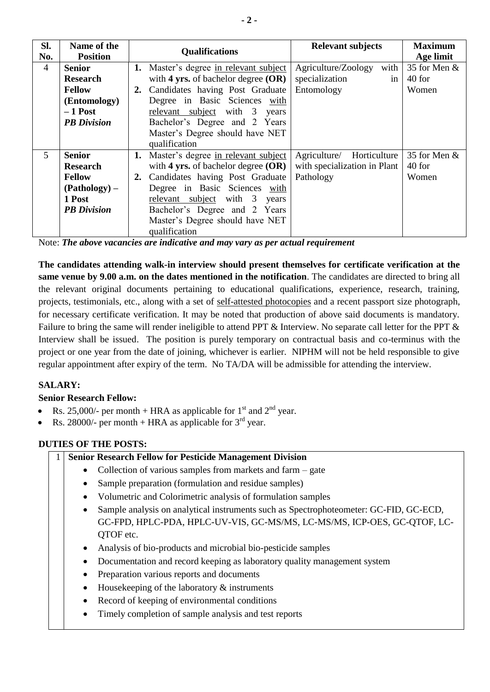| Sl.            | Name of the        | <b>Relevant subjects</b><br><b>Qualifications</b>                        | <b>Maximum</b> |
|----------------|--------------------|--------------------------------------------------------------------------|----------------|
| No.            | <b>Position</b>    |                                                                          | Age limit      |
| $\overline{4}$ | <b>Senior</b>      | with<br>Agriculture/Zoology<br>Master's degree in relevant subject<br>1. | 35 for Men &   |
|                | <b>Research</b>    | in<br>with 4 yrs. of bachelor degree $(OR)$<br>specialization            | 40 for         |
|                | <b>Fellow</b>      | Candidates having Post Graduate<br>Entomology<br>2.                      | Women          |
|                | (Entomology)       | Degree in Basic Sciences with                                            |                |
|                | $-1$ Post          | relevant subject with 3 years                                            |                |
|                | <b>PB</b> Division | Bachelor's Degree and 2 Years                                            |                |
|                |                    | Master's Degree should have NET                                          |                |
|                |                    | qualification                                                            |                |
| $\mathfrak{S}$ | <b>Senior</b>      | Master's degree in relevant subject<br>Agriculture/ Horticulture<br>1.   | 35 for Men &   |
|                | <b>Research</b>    | with 4 yrs. of bachelor degree $(OR)$<br>with specialization in Plant    | 40 for         |
|                | <b>Fellow</b>      | Candidates having Post Graduate<br>Pathology<br>2.                       | Women          |
|                | $(Pathology)$ –    | Degree in Basic Sciences with                                            |                |
|                | 1 Post             | relevant subject with 3 years                                            |                |
|                | <b>PB</b> Division | Bachelor's Degree and 2 Years                                            |                |
|                |                    | Master's Degree should have NET                                          |                |
|                |                    | qualification                                                            |                |

Note: *The above vacancies are indicative and may vary as per actual requirement*

**The candidates attending walk-in interview should present themselves for certificate verification at the same venue by 9.00 a.m. on the dates mentioned in the notification**. The candidates are directed to bring all the relevant original documents pertaining to educational qualifications, experience, research, training, projects, testimonials, etc., along with a set of self-attested photocopies and a recent passport size photograph, for necessary certificate verification. It may be noted that production of above said documents is mandatory. Failure to bring the same will render ineligible to attend PPT & Interview. No separate call letter for the PPT & Interview shall be issued. The position is purely temporary on contractual basis and co-terminus with the project or one year from the date of joining, whichever is earlier. NIPHM will not be held responsible to give regular appointment after expiry of the term. No TA/DA will be admissible for attending the interview.

### **SALARY:**

### **Senior Research Fellow:**

- Rs. 25,000/- per month + HRA as applicable for  $1<sup>st</sup>$  and  $2<sup>nd</sup>$  year.
- Rs. 28000/- per month + HRA as applicable for  $3<sup>rd</sup>$  year.

### **DUTIES OF THE POSTS:**

#### 1 **Senior Research Fellow for Pesticide Management Division**

- Collection of various samples from markets and farm gate
- Sample preparation (formulation and residue samples)
- Volumetric and Colorimetric analysis of formulation samples
- Sample analysis on analytical instruments such as Spectrophoteometer: GC-FID, GC-ECD, GC-FPD, HPLC-PDA, HPLC-UV-VIS, GC-MS/MS, LC-MS/MS, ICP-OES, GC-QTOF, LC-QTOF etc.
- Analysis of bio-products and microbial bio-pesticide samples
- Documentation and record keeping as laboratory quality management system
- Preparation various reports and documents
- $\bullet$  Housekeeping of the laboratory  $\&$  instruments
- Record of keeping of environmental conditions
- Timely completion of sample analysis and test reports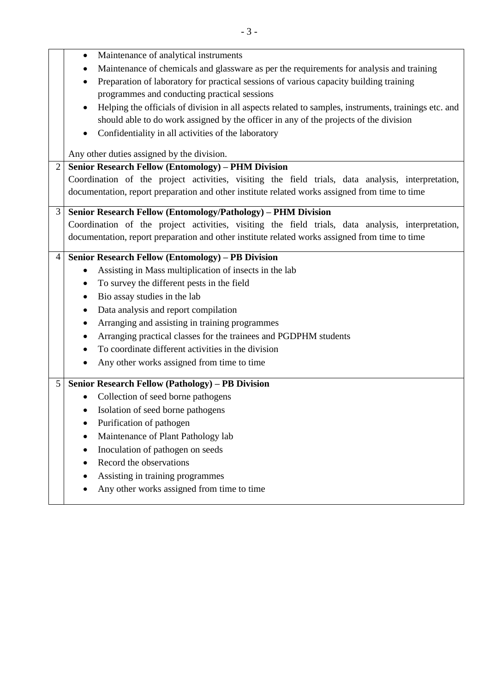Maintenance of chemicals and glassware as per the requirements for analysis and training

Maintenance of analytical instruments

|                | Preparation of laboratory for practical sessions of various capacity building training                            |  |  |  |  |  |
|----------------|-------------------------------------------------------------------------------------------------------------------|--|--|--|--|--|
|                | programmes and conducting practical sessions                                                                      |  |  |  |  |  |
|                | Helping the officials of division in all aspects related to samples, instruments, trainings etc. and<br>$\bullet$ |  |  |  |  |  |
|                | should able to do work assigned by the officer in any of the projects of the division                             |  |  |  |  |  |
|                | Confidentiality in all activities of the laboratory                                                               |  |  |  |  |  |
|                | Any other duties assigned by the division.                                                                        |  |  |  |  |  |
| $\overline{2}$ | <b>Senior Research Fellow (Entomology) - PHM Division</b>                                                         |  |  |  |  |  |
|                | Coordination of the project activities, visiting the field trials, data analysis, interpretation,                 |  |  |  |  |  |
|                | documentation, report preparation and other institute related works assigned from time to time                    |  |  |  |  |  |
| 3              | Senior Research Fellow (Entomology/Pathology) - PHM Division                                                      |  |  |  |  |  |
|                | Coordination of the project activities, visiting the field trials, data analysis, interpretation,                 |  |  |  |  |  |
|                | documentation, report preparation and other institute related works assigned from time to time                    |  |  |  |  |  |
| $\overline{4}$ | Senior Research Fellow (Entomology) - PB Division                                                                 |  |  |  |  |  |
|                | Assisting in Mass multiplication of insects in the lab<br>$\bullet$                                               |  |  |  |  |  |
|                | To survey the different pests in the field<br>$\bullet$                                                           |  |  |  |  |  |
|                | Bio assay studies in the lab<br>$\bullet$                                                                         |  |  |  |  |  |
|                | Data analysis and report compilation<br>$\bullet$                                                                 |  |  |  |  |  |
|                | Arranging and assisting in training programmes<br>$\bullet$                                                       |  |  |  |  |  |
|                | Arranging practical classes for the trainees and PGDPHM students<br>$\bullet$                                     |  |  |  |  |  |
|                | To coordinate different activities in the division<br>$\bullet$                                                   |  |  |  |  |  |
|                | Any other works assigned from time to time<br>$\bullet$                                                           |  |  |  |  |  |
| 5              | Senior Research Fellow (Pathology) - PB Division                                                                  |  |  |  |  |  |
|                | Collection of seed borne pathogens<br>$\bullet$                                                                   |  |  |  |  |  |
|                | Isolation of seed borne pathogens<br>$\bullet$                                                                    |  |  |  |  |  |
|                | Purification of pathogen<br>$\bullet$                                                                             |  |  |  |  |  |
|                | Maintenance of Plant Pathology lab<br>$\bullet$                                                                   |  |  |  |  |  |
|                | Inoculation of pathogen on seeds<br>$\bullet$                                                                     |  |  |  |  |  |
|                | Record the observations                                                                                           |  |  |  |  |  |
|                | Assisting in training programmes<br>$\bullet$                                                                     |  |  |  |  |  |
|                | Any other works assigned from time to time                                                                        |  |  |  |  |  |
|                |                                                                                                                   |  |  |  |  |  |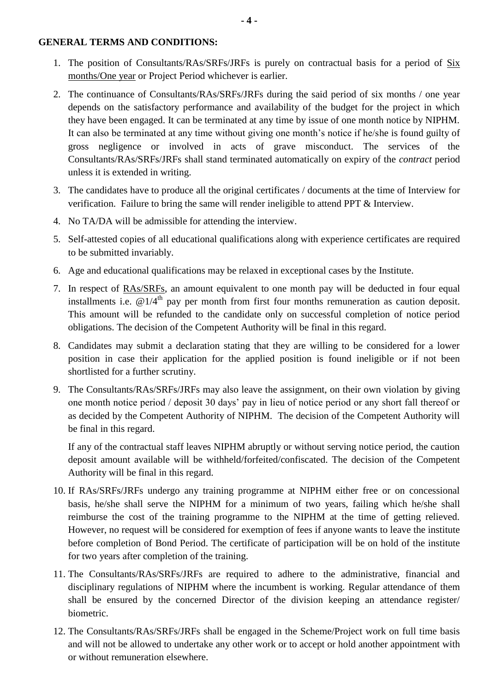#### **GENERAL TERMS AND CONDITIONS:**

- 1. The position of Consultants/RAs/SRFs/JRFs is purely on contractual basis for a period of Six months/One year or Project Period whichever is earlier.
- 2. The continuance of Consultants/RAs/SRFs/JRFs during the said period of six months / one year depends on the satisfactory performance and availability of the budget for the project in which they have been engaged. It can be terminated at any time by issue of one month notice by NIPHM. It can also be terminated at any time without giving one month's notice if he/she is found guilty of gross negligence or involved in acts of grave misconduct. The services of the Consultants/RAs/SRFs/JRFs shall stand terminated automatically on expiry of the *contract* period unless it is extended in writing.
- 3. The candidates have to produce all the original certificates / documents at the time of Interview for verification. Failure to bring the same will render ineligible to attend PPT & Interview.
- 4. No TA/DA will be admissible for attending the interview.
- 5. Self-attested copies of all educational qualifications along with experience certificates are required to be submitted invariably.
- 6. Age and educational qualifications may be relaxed in exceptional cases by the Institute.
- 7. In respect of RAs/SRFs, an amount equivalent to one month pay will be deducted in four equal installments i.e.  $\omega$  1/4<sup>th</sup> pay per month from first four months remuneration as caution deposit. This amount will be refunded to the candidate only on successful completion of notice period obligations. The decision of the Competent Authority will be final in this regard.
- 8. Candidates may submit a declaration stating that they are willing to be considered for a lower position in case their application for the applied position is found ineligible or if not been shortlisted for a further scrutiny.
- 9. The Consultants/RAs/SRFs/JRFs may also leave the assignment, on their own violation by giving one month notice period / deposit 30 days' pay in lieu of notice period or any short fall thereof or as decided by the Competent Authority of NIPHM. The decision of the Competent Authority will be final in this regard.

If any of the contractual staff leaves NIPHM abruptly or without serving notice period, the caution deposit amount available will be withheld/forfeited/confiscated. The decision of the Competent Authority will be final in this regard.

- 10. If RAs/SRFs/JRFs undergo any training programme at NIPHM either free or on concessional basis, he/she shall serve the NIPHM for a minimum of two years, failing which he/she shall reimburse the cost of the training programme to the NIPHM at the time of getting relieved. However, no request will be considered for exemption of fees if anyone wants to leave the institute before completion of Bond Period. The certificate of participation will be on hold of the institute for two years after completion of the training.
- 11. The Consultants/RAs/SRFs/JRFs are required to adhere to the administrative, financial and disciplinary regulations of NIPHM where the incumbent is working. Regular attendance of them shall be ensured by the concerned Director of the division keeping an attendance register/ biometric.
- 12. The Consultants/RAs/SRFs/JRFs shall be engaged in the Scheme/Project work on full time basis and will not be allowed to undertake any other work or to accept or hold another appointment with or without remuneration elsewhere.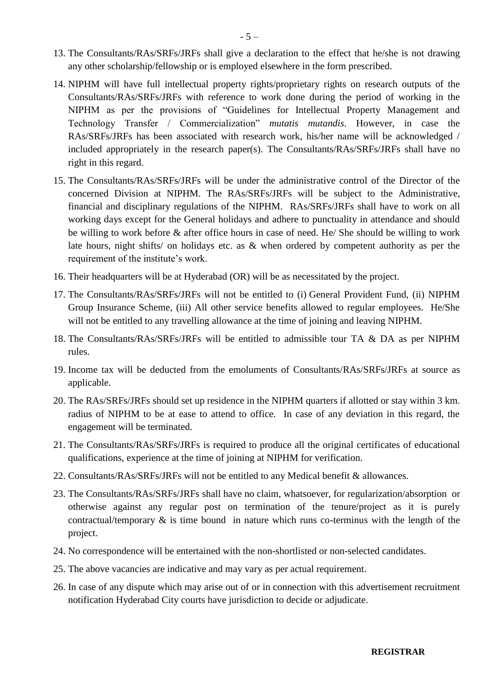- 13. The Consultants/RAs/SRFs/JRFs shall give a declaration to the effect that he/she is not drawing any other scholarship/fellowship or is employed elsewhere in the form prescribed.
- 14. NIPHM will have full intellectual property rights/proprietary rights on research outputs of the Consultants/RAs/SRFs/JRFs with reference to work done during the period of working in the NIPHM as per the provisions of "Guidelines for Intellectual Property Management and Technology Transfer / Commercialization" *mutatis mutandis*. However, in case the RAs/SRFs/JRFs has been associated with research work, his/her name will be acknowledged / included appropriately in the research paper(s). The Consultants/RAs/SRFs/JRFs shall have no right in this regard.
- 15. The Consultants/RAs/SRFs/JRFs will be under the administrative control of the Director of the concerned Division at NIPHM. The RAs/SRFs/JRFs will be subject to the Administrative, financial and disciplinary regulations of the NIPHM. RAs/SRFs/JRFs shall have to work on all working days except for the General holidays and adhere to punctuality in attendance and should be willing to work before & after office hours in case of need. He/ She should be willing to work late hours, night shifts/ on holidays etc. as & when ordered by competent authority as per the requirement of the institute's work.
- 16. Their headquarters will be at Hyderabad (OR) will be as necessitated by the project.
- 17. The Consultants/RAs/SRFs/JRFs will not be entitled to (i) General Provident Fund, (ii) NIPHM Group Insurance Scheme, (iii) All other service benefits allowed to regular employees. He/She will not be entitled to any travelling allowance at the time of joining and leaving NIPHM.
- 18. The Consultants/RAs/SRFs/JRFs will be entitled to admissible tour TA & DA as per NIPHM rules.
- 19. Income tax will be deducted from the emoluments of Consultants/RAs/SRFs/JRFs at source as applicable.
- 20. The RAs/SRFs/JRFs should set up residence in the NIPHM quarters if allotted or stay within 3 km. radius of NIPHM to be at ease to attend to office. In case of any deviation in this regard, the engagement will be terminated.
- 21. The Consultants/RAs/SRFs/JRFs is required to produce all the original certificates of educational qualifications, experience at the time of joining at NIPHM for verification.
- 22. Consultants/RAs/SRFs/JRFs will not be entitled to any Medical benefit & allowances.
- 23. The Consultants/RAs/SRFs/JRFs shall have no claim, whatsoever, for regularization/absorption or otherwise against any regular post on termination of the tenure/project as it is purely contractual/temporary & is time bound in nature which runs co-terminus with the length of the project.
- 24. No correspondence will be entertained with the non-shortlisted or non-selected candidates.
- 25. The above vacancies are indicative and may vary as per actual requirement.
- 26. In case of any dispute which may arise out of or in connection with this advertisement recruitment notification Hyderabad City courts have jurisdiction to decide or adjudicate.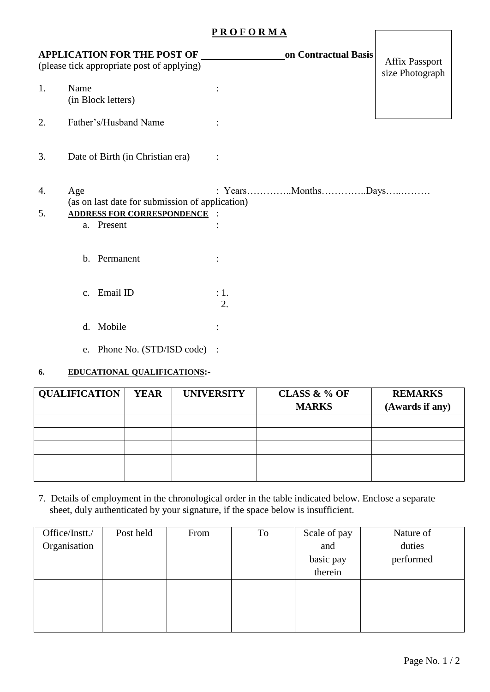### **P R O F O R M A**

| <b>APPLICATION FOR THE POST OF</b><br>(please tick appropriate post of applying) |               |                                                                                                    |            | on Contractual Basis | <b>Affix Passport</b><br>size Photograph |
|----------------------------------------------------------------------------------|---------------|----------------------------------------------------------------------------------------------------|------------|----------------------|------------------------------------------|
| 1.                                                                               | Name          | (in Block letters)                                                                                 |            |                      |                                          |
| 2.                                                                               |               | Father's/Husband Name                                                                              |            |                      |                                          |
| 3.                                                                               |               | Date of Birth (in Christian era)                                                                   |            |                      |                                          |
| 4.<br>5.                                                                         | Age           | (as on last date for submission of application)<br><b>ADDRESS FOR CORRESPONDENCE</b><br>a. Present |            |                      |                                          |
|                                                                                  |               | b. Permanent                                                                                       |            |                      |                                          |
|                                                                                  | $C_{\bullet}$ | Email ID                                                                                           | : 1.<br>2. |                      |                                          |
|                                                                                  | d.            | Mobile                                                                                             |            |                      |                                          |
|                                                                                  |               | e. Phone No. (STD/ISD code)                                                                        |            |                      |                                          |

### **6. EDUCATIONAL QUALIFICATIONS:-**

| <b>QUALIFICATION</b> | <b>YEAR</b> | <b>UNIVERSITY</b> | CLASS & % OF<br><b>MARKS</b> | <b>REMARKS</b><br>(Awards if any) |
|----------------------|-------------|-------------------|------------------------------|-----------------------------------|
|                      |             |                   |                              |                                   |
|                      |             |                   |                              |                                   |
|                      |             |                   |                              |                                   |
|                      |             |                   |                              |                                   |
|                      |             |                   |                              |                                   |

7. Details of employment in the chronological order in the table indicated below. Enclose a separate sheet, duly authenticated by your signature, if the space below is insufficient.

| Office/Instt./ | Post held | From | To | Scale of pay | Nature of |
|----------------|-----------|------|----|--------------|-----------|
| Organisation   |           |      |    | and          | duties    |
|                |           |      |    | basic pay    | performed |
|                |           |      |    | therein      |           |
|                |           |      |    |              |           |
|                |           |      |    |              |           |
|                |           |      |    |              |           |
|                |           |      |    |              |           |